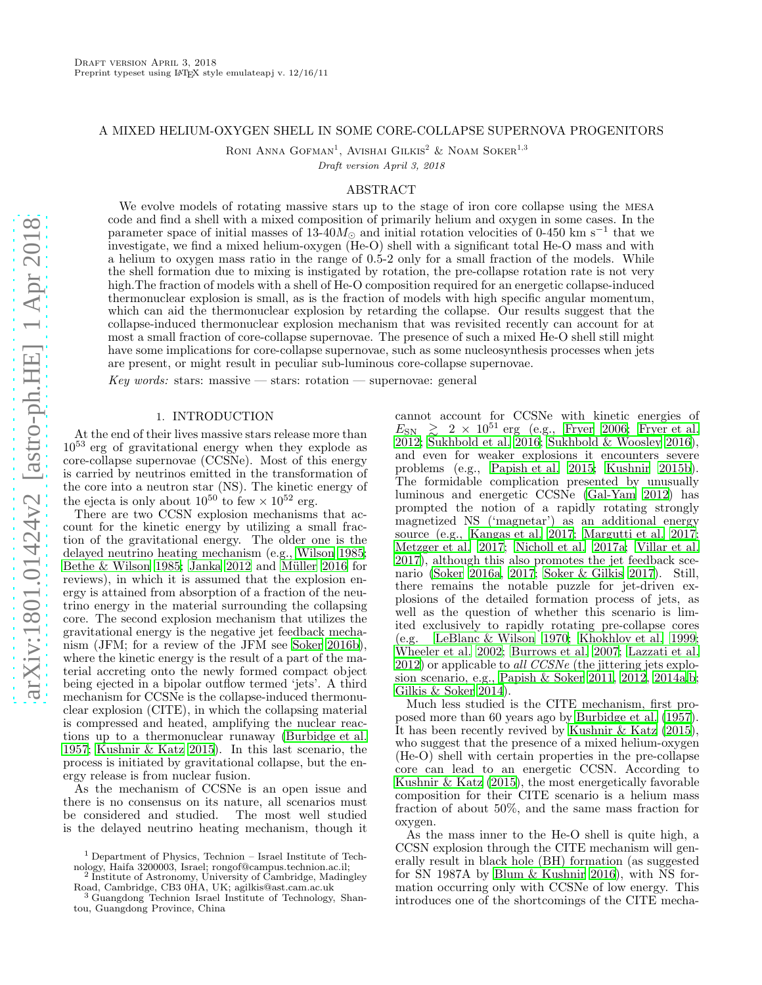### A MIXED HELIUM-OXYGEN SHELL IN SOME CORE-COLLAPSE SUPERNOVA PROGENITORS

RONI ANNA GOFMAN<sup>1</sup>, AVISHAI GILKIS<sup>2</sup> & NOAM SOKER<sup>1,3</sup>

Draft version April 3, 2018

## ABSTRACT

We evolve models of rotating massive stars up to the stage of iron core collapse using the mesa code and find a shell with a mixed composition of primarily helium and oxygen in some cases. In the parameter space of initial masses of 13-40 $M_{\odot}$  and initial rotation velocities of 0-450 km s<sup>-1</sup> that we investigate, we find a mixed helium-oxygen (He-O) shell with a significant total He-O mass and with a helium to oxygen mass ratio in the range of 0.5-2 only for a small fraction of the models. While the shell formation due to mixing is instigated by rotation, the pre-collapse rotation rate is not very high. The fraction of models with a shell of He-O composition required for an energetic collapse-induced thermonuclear explosion is small, as is the fraction of models with high specific angular momentum, which can aid the thermonuclear explosion by retarding the collapse. Our results suggest that the collapse-induced thermonuclear explosion mechanism that was revisited recently can account for at most a small fraction of core-collapse supernovae. The presence of such a mixed He-O shell still might have some implications for core-collapse supernovae, such as some nucleosynthesis processes when jets are present, or might result in peculiar sub-luminous core-collapse supernovae.

Key words: stars: massive — stars: rotation — supernovae: general

# 1. INTRODUCTION

At the end of their lives massive stars release more than  $10^{53}$  erg of gravitational energy when they explode as core-collapse supernovae (CCSNe). Most of this energy is carried by neutrinos emitted in the transformation of the core into a neutron star (NS). The kinetic energy of the ejecta is only about  $10^{50}$  to few  $\times 10^{52}$  erg.

There are two CCSN explosion mechanisms that account for the kinetic energy by utilizing a small fraction of the gravitational energy. The older one is the delayed neutrino heating mechanism (e.g., [Wilson 1985;](#page-8-0) Bethe  $&$  Wilson 1985; [Janka 2012](#page-7-1) and Müller 2016 for reviews), in which it is assumed that the explosion energy is attained from absorption of a fraction of the neutrino energy in the material surrounding the collapsing core. The second explosion mechanism that utilizes the gravitational energy is the negative jet feedback mechanism (JFM; for a review of the JFM see [Soker 2016b\)](#page-8-1), where the kinetic energy is the result of a part of the material accreting onto the newly formed compact object being ejected in a bipolar outflow termed 'jets'. A third mechanism for CCSNe is the collapse-induced thermonuclear explosion (CITE), in which the collapsing material is compressed and heated, amplifying the nuclear reactions up to a thermonuclear runaway [\(Burbidge et al.](#page-7-3) [1957;](#page-7-3) [Kushnir & Katz 2015](#page-7-4)). In this last scenario, the process is initiated by gravitational collapse, but the energy release is from nuclear fusion.

As the mechanism of CCSNe is an open issue and there is no consensus on its nature, all scenarios must<br>be considered and studied. The most well studied be considered and studied. is the delayed neutrino heating mechanism, though it cannot account for CCSNe with kinetic energies of  $E_{\rm SN} \geq 2 \times 10^{51}$  erg (e.g., [Fryer 2006;](#page-7-5) [Fryer et al.](#page-7-6) [2012;](#page-7-6) [Sukhbold et al. 2016;](#page-8-2) [Sukhbold & Woosley 2016](#page-8-3)), and even for weaker explosions it encounters severe problems (e.g., [Papish et al. 2015;](#page-8-4) [Kushnir 2015b](#page-7-7)). The formidable complication presented by unusually luminous and energetic CCSNe [\(Gal-Yam 2012\)](#page-7-8) has prompted the notion of a rapidly rotating strongly magnetized NS ('magnetar') as an additional energy source (e.g., [Kangas et al. 2017;](#page-7-9) [Margutti et al. 2017](#page-7-10); [Metzger et al. 2017;](#page-7-11) [Nicholl et al. 2017a;](#page-8-5) [Villar et al.](#page-8-6) [2017\)](#page-8-6), although this also promotes the jet feedback scenario [\(Soker 2016a](#page-8-7), [2017;](#page-8-8) [Soker & Gilkis 2017\)](#page-8-9). Still, there remains the notable puzzle for jet-driven explosions of the detailed formation process of jets, as well as the question of whether this scenario is limited exclusively to rapidly rotating pre-collapse cores (e.g. [LeBlanc & Wilson 1970;](#page-7-12) [Khokhlov et al. 1999](#page-7-13); [Wheeler et al. 2002;](#page-8-10) [Burrows et al. 2007;](#page-7-14) [Lazzati et al.](#page-7-15) [2012\)](#page-7-15) or applicable to all CCSNe (the jittering jets explosion scenario, e.g., [Papish & Soker 2011,](#page-8-11) [2012,](#page-8-12) [2014a](#page-8-13)[,b](#page-8-14); [Gilkis & Soker 2014\)](#page-7-16).

Much less studied is the CITE mechanism, first proposed more than 60 years ago by [Burbidge et al. \(1957](#page-7-3)). It has been recently revived by [Kushnir & Katz \(2015](#page-7-4)), who suggest that the presence of a mixed helium-oxygen (He-O) shell with certain properties in the pre-collapse core can lead to an energetic CCSN. According to [Kushnir & Katz \(2015\)](#page-7-4), the most energetically favorable composition for their CITE scenario is a helium mass fraction of about 50%, and the same mass fraction for oxygen.

As the mass inner to the He-O shell is quite high, a CCSN explosion through the CITE mechanism will generally result in black hole (BH) formation (as suggested for SN 1987A by [Blum & Kushnir 2016\)](#page-7-17), with NS formation occurring only with CCSNe of low energy. This introduces one of the shortcomings of the CITE mecha-

<sup>1</sup> Department of Physics, Technion – Israel Institute of Technology, Haifa 3200003, Israel; rongof@campus.technion.ac.il; 2

Institute of Astronomy, University of Cambridge, Madingley

Road, Cambridge, CB3 0HA, UK; agilkis@ast.cam.ac.uk <sup>3</sup> Guangdong Technion Israel Institute of Technology, Shantou, Guangdong Province, China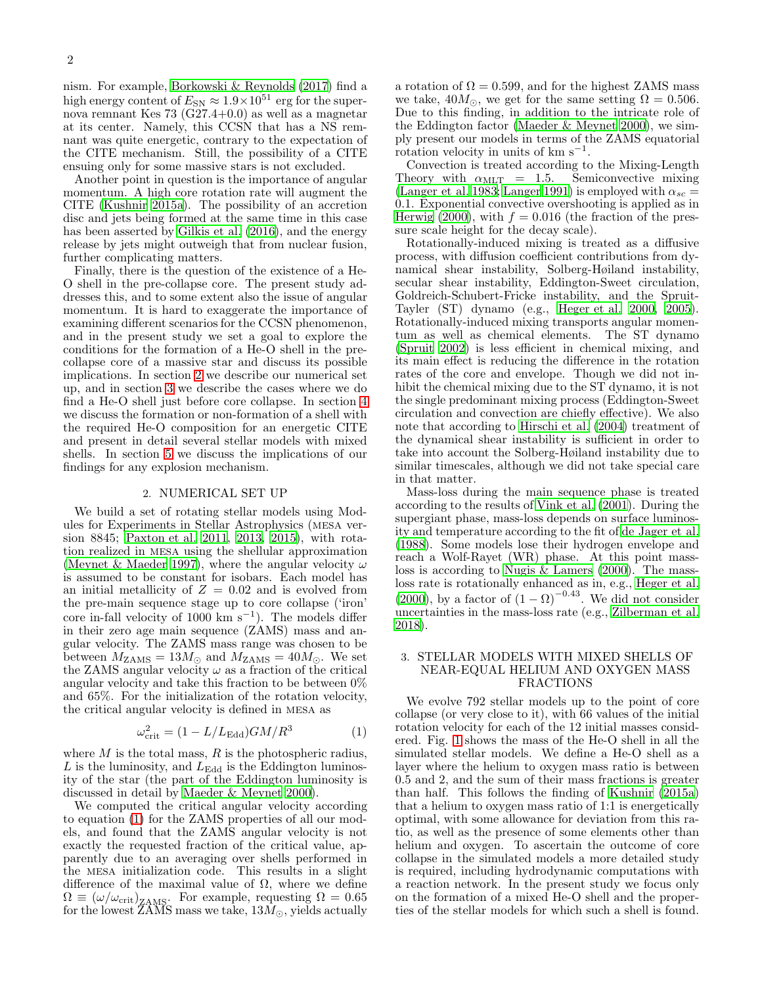nism. For example, [Borkowski & Reynolds \(2017\)](#page-7-18) find a high energy content of  $E_{SN} \approx 1.9 \times 10^{51}$  erg for the supernova remnant Kes 73 (G27.4+0.0) as well as a magnetar at its center. Namely, this CCSN that has a NS remnant was quite energetic, contrary to the expectation of the CITE mechanism. Still, the possibility of a CITE ensuing only for some massive stars is not excluded.

Another point in question is the importance of angular momentum. A high core rotation rate will augment the CITE [\(Kushnir 2015a](#page-7-19)). The possibility of an accretion disc and jets being formed at the same time in this case has been asserted by [Gilkis et al. \(2016\)](#page-7-20), and the energy release by jets might outweigh that from nuclear fusion, further complicating matters.

Finally, there is the question of the existence of a He-O shell in the pre-collapse core. The present study addresses this, and to some extent also the issue of angular momentum. It is hard to exaggerate the importance of examining different scenarios for the CCSN phenomenon, and in the present study we set a goal to explore the conditions for the formation of a He-O shell in the precollapse core of a massive star and discuss its possible implications. In section [2](#page-1-0) we describe our numerical set up, and in section [3](#page-1-1) we describe the cases where we do find a He-O shell just before core collapse. In section [4](#page-2-0) we discuss the formation or non-formation of a shell with the required He-O composition for an energetic CITE and present in detail several stellar models with mixed shells. In section [5](#page-6-0) we discuss the implications of our findings for any explosion mechanism.

#### 2. NUMERICAL SET UP

<span id="page-1-0"></span>We build a set of rotating stellar models using Modules for Experiments in Stellar Astrophysics (mesa version 8845; [Paxton et al. 2011,](#page-8-15) [2013](#page-8-16), [2015\)](#page-8-17), with rotation realized in mesa using the shellular approximation [\(Meynet & Maeder 1997\)](#page-7-21), where the angular velocity  $\omega$ is assumed to be constant for isobars. Each model has an initial metallicity of  $Z = 0.02$  and is evolved from the pre-main sequence stage up to core collapse ('iron' core in-fall velocity of 1000 km s<sup>-1</sup>). The models differ in their zero age main sequence (ZAMS) mass and angular velocity. The ZAMS mass range was chosen to be between  $M_{\text{ZAMS}} = 13 M_{\odot}$  and  $M_{\text{ZAMS}} = 40 M_{\odot}$ . We set the ZAMS angular velocity  $\omega$  as a fraction of the critical angular velocity and take this fraction to be between 0% and 65%. For the initialization of the rotation velocity, the critical angular velocity is defined in mesa as

<span id="page-1-2"></span>
$$
\omega_{\rm crit}^2 = (1 - L/L_{\rm Edd})GM/R^3 \tag{1}
$$

where  $M$  is the total mass,  $R$  is the photospheric radius,  $L$  is the luminosity, and  $L_{\text{Edd}}$  is the Eddington luminosity of the star (the part of the Eddington luminosity is discussed in detail by [Maeder & Meynet 2000\)](#page-7-22).

We computed the critical angular velocity according to equation [\(1\)](#page-1-2) for the ZAMS properties of all our models, and found that the ZAMS angular velocity is not exactly the requested fraction of the critical value, apparently due to an averaging over shells performed in the mesa initialization code. This results in a slight difference of the maximal value of  $\Omega$ , where we define  $\Omega \equiv (\omega/\omega_{\rm crit})_{\rm ZAMS}$ . For example, requesting  $\Omega = 0.65$ for the lowest ZAMS mass we take,  $13M_{\odot},$  yields actually

a rotation of  $\Omega = 0.599$ , and for the highest ZAMS mass we take,  $40M_{\odot}$ , we get for the same setting  $\Omega = 0.506$ . Due to this finding, in addition to the intricate role of the Eddington factor [\(Maeder & Meynet 2000\)](#page-7-22), we simply present our models in terms of the ZAMS equatorial  $\frac{1}{x}$  rotation velocity in units of km s<sup>-1</sup>.

Convection is treated according to the Mixing-Length<br>heory with  $\alpha_{\text{MLT}} = 1.5$ . Semiconvective mixing Theory with  $\alpha_{\text{MLT}} = 1.5$ . [\(Langer et al. 1983;](#page-7-23) [Langer 1991\)](#page-7-24) is employed with  $\alpha_{sc}$  = 0.1. Exponential convective overshooting is applied as in [Herwig \(2000\)](#page-7-25), with  $f = 0.016$  (the fraction of the pressure scale height for the decay scale).

Rotationally-induced mixing is treated as a diffusive process, with diffusion coefficient contributions from dynamical shear instability, Solberg-Høiland instability, secular shear instability, Eddington-Sweet circulation, Goldreich-Schubert-Fricke instability, and the Spruit-Tayler (ST) dynamo (e.g., [Heger et al. 2000,](#page-7-26) [2005](#page-7-27)). Rotationally-induced mixing transports angular momentum as well as chemical elements. The ST dynamo [\(Spruit 2002\)](#page-8-18) is less efficient in chemical mixing, and its main effect is reducing the difference in the rotation rates of the core and envelope. Though we did not inhibit the chemical mixing due to the ST dynamo, it is not the single predominant mixing process (Eddington-Sweet circulation and convection are chiefly effective). We also note that according to [Hirschi et al. \(2004\)](#page-7-28) treatment of the dynamical shear instability is sufficient in order to take into account the Solberg-Høiland instability due to similar timescales, although we did not take special care in that matter.

Mass-loss during the main sequence phase is treated according to the results of [Vink et al. \(2001](#page-8-19)). During the supergiant phase, mass-loss depends on surface luminosity and temperature according to the fit of [de Jager et al.](#page-7-29) [\(1988\)](#page-7-29). Some models lose their hydrogen envelope and reach a Wolf-Rayet (WR) phase. At this point massloss is according to [Nugis & Lamers \(2000\)](#page-8-20). The massloss rate is rotationally enhanced as in, e.g., [Heger et al.](#page-7-26) [\(2000\)](#page-7-26), by a factor of  $(1 - \Omega)^{-0.43}$ . We did not consider uncertainties in the mass-loss rate (e.g., [Zilberman et al.](#page-8-21) [2018\)](#page-8-21).

# <span id="page-1-1"></span>3. STELLAR MODELS WITH MIXED SHELLS OF NEAR-EQUAL HELIUM AND OXYGEN MASS FRACTIONS

We evolve 792 stellar models up to the point of core collapse (or very close to it), with 66 values of the initial rotation velocity for each of the 12 initial masses considered. Fig. [1](#page-3-0) shows the mass of the He-O shell in all the simulated stellar models. We define a He-O shell as a layer where the helium to oxygen mass ratio is between 0.5 and 2, and the sum of their mass fractions is greater than half. This follows the finding of [Kushnir \(2015a](#page-7-19)) that a helium to oxygen mass ratio of 1:1 is energetically optimal, with some allowance for deviation from this ratio, as well as the presence of some elements other than helium and oxygen. To ascertain the outcome of core collapse in the simulated models a more detailed study is required, including hydrodynamic computations with a reaction network. In the present study we focus only on the formation of a mixed He-O shell and the properties of the stellar models for which such a shell is found.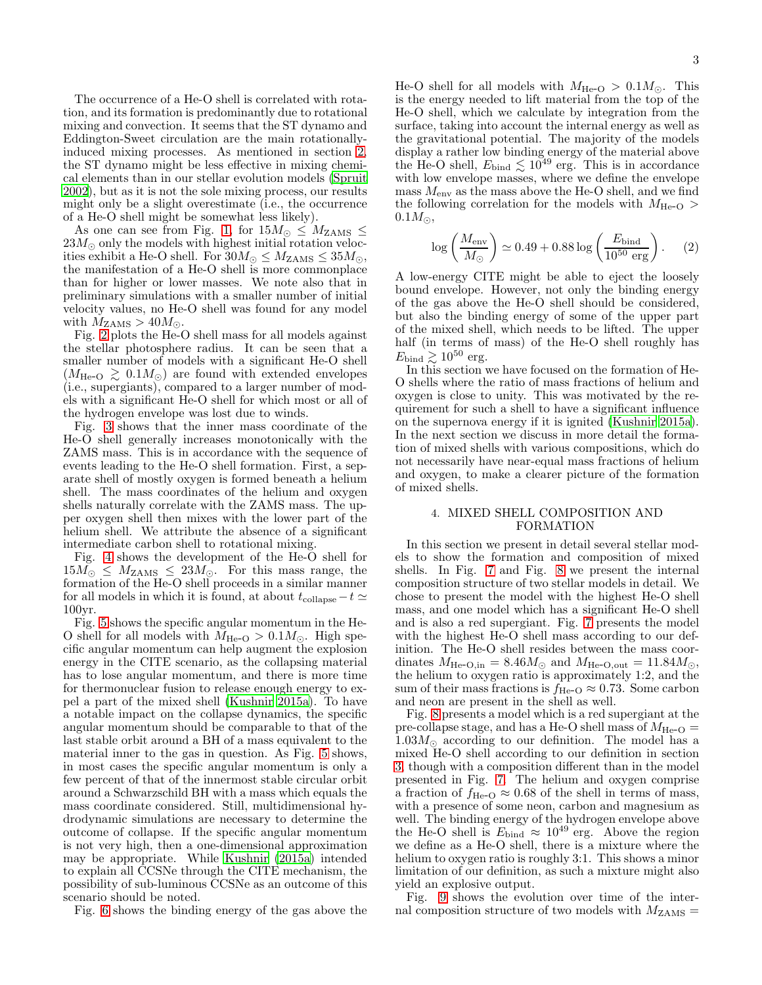The occurrence of a He-O shell is correlated with rotation, and its formation is predominantly due to rotational mixing and convection. It seems that the ST dynamo and Eddington-Sweet circulation are the main rotationallyinduced mixing processes. As mentioned in section [2,](#page-1-0) the ST dynamo might be less effective in mixing chemical elements than in our stellar evolution models [\(Spruit](#page-8-18) [2002\)](#page-8-18), but as it is not the sole mixing process, our results might only be a slight overestimate (i.e., the occurrence of a He-O shell might be somewhat less likely).

As one can see from Fig. [1,](#page-3-0) for  $15M_{\odot} \leq M_{\rm ZAMS} \leq$  $23M_{\odot}$  only the models with highest initial rotation velocities exhibit a He-O shell. For  $30M_{\odot} \leq M_{\rm ZAMS} \leq 35M_{\odot}$ , the manifestation of a He-O shell is more commonplace than for higher or lower masses. We note also that in preliminary simulations with a smaller number of initial velocity values, no He-O shell was found for any model with  $M_{\rm ZAMS} > 40 M_{\odot}$ .

Fig. [2](#page-3-1) plots the He-O shell mass for all models against the stellar photosphere radius. It can be seen that a smaller number of models with a significant He-O shell  $(M_{\text{He-O}} \gtrsim 0.1 M_{\odot})$  are found with extended envelopes (i.e., supergiants), compared to a larger number of models with a significant He-O shell for which most or all of the hydrogen envelope was lost due to winds.

Fig. [3](#page-3-2) shows that the inner mass coordinate of the He-O shell generally increases monotonically with the ZAMS mass. This is in accordance with the sequence of events leading to the He-O shell formation. First, a separate shell of mostly oxygen is formed beneath a helium shell. The mass coordinates of the helium and oxygen shells naturally correlate with the ZAMS mass. The upper oxygen shell then mixes with the lower part of the helium shell. We attribute the absence of a significant intermediate carbon shell to rotational mixing.

Fig. [4](#page-4-0) shows the development of the He-O shell for  $15M_{\odot} \leq M_{\rm ZAMS} \leq 23M_{\odot}$ . For this mass range, the formation of the He-O shell proceeds in a similar manner for all models in which it is found, at about  $t_{\text{collapse}}-t \simeq$ 100yr.

Fig. [5](#page-4-1) shows the specific angular momentum in the He-O shell for all models with  $M_{\text{He-O}} > 0.1 M_{\odot}$ . High specific angular momentum can help augment the explosion energy in the CITE scenario, as the collapsing material has to lose angular momentum, and there is more time for thermonuclear fusion to release enough energy to expel a part of the mixed shell [\(Kushnir 2015a](#page-7-19)). To have a notable impact on the collapse dynamics, the specific angular momentum should be comparable to that of the last stable orbit around a BH of a mass equivalent to the material inner to the gas in question. As Fig. [5](#page-4-1) shows, in most cases the specific angular momentum is only a few percent of that of the innermost stable circular orbit around a Schwarzschild BH with a mass which equals the mass coordinate considered. Still, multidimensional hydrodynamic simulations are necessary to determine the outcome of collapse. If the specific angular momentum is not very high, then a one-dimensional approximation may be appropriate. While [Kushnir \(2015a](#page-7-19)) intended to explain all CCSNe through the CITE mechanism, the possibility of sub-luminous CCSNe as an outcome of this scenario should be noted.

Fig. [6](#page-4-2) shows the binding energy of the gas above the

He-O shell for all models with  $M_{\text{He-O}} > 0.1 M_{\odot}$ . This is the energy needed to lift material from the top of the He-O shell, which we calculate by integration from the surface, taking into account the internal energy as well as the gravitational potential. The majority of the models display a rather low binding energy of the material above the He-O shell,  $E_{\text{bind}} \lesssim 10^{49}$  erg. This is in accordance with low envelope masses, where we define the envelope mass  $M_{\text{env}}$  as the mass above the He-O shell, and we find the following correlation for the models with  $M_{\text{He-O}}$  $0.1M_{\odot}$ ,

<span id="page-2-1"></span>
$$
\log\left(\frac{M_{\rm env}}{M_{\odot}}\right) \simeq 0.49 + 0.88 \log\left(\frac{E_{\rm bind}}{10^{50} \text{ erg}}\right). \tag{2}
$$

A low-energy CITE might be able to eject the loosely bound envelope. However, not only the binding energy of the gas above the He-O shell should be considered, but also the binding energy of some of the upper part of the mixed shell, which needs to be lifted. The upper half (in terms of mass) of the He-O shell roughly has  $E_{\text{bind}} \geq 10^{50}$  erg.

In this section we have focused on the formation of He-O shells where the ratio of mass fractions of helium and oxygen is close to unity. This was motivated by the requirement for such a shell to have a significant influence on the supernova energy if it is ignited [\(Kushnir 2015a\)](#page-7-19). In the next section we discuss in more detail the formation of mixed shells with various compositions, which do not necessarily have near-equal mass fractions of helium and oxygen, to make a clearer picture of the formation of mixed shells.

# <span id="page-2-0"></span>4. MIXED SHELL COMPOSITION AND FORMATION

In this section we present in detail several stellar models to show the formation and composition of mixed shells. In Fig. [7](#page-5-0) and Fig. [8](#page-5-1) we present the internal composition structure of two stellar models in detail. We chose to present the model with the highest He-O shell mass, and one model which has a significant He-O shell and is also a red supergiant. Fig. [7](#page-5-0) presents the model with the highest He-O shell mass according to our definition. The He-O shell resides between the mass coordinates  $M_{\text{He-O,in}} = 8.46 M_{\odot}$  and  $M_{\text{He-O,out}} = 11.84 M_{\odot}$ , the helium to oxygen ratio is approximately 1:2, and the sum of their mass fractions is  $f_{\text{He-O}} \approx 0.73$ . Some carbon and neon are present in the shell as well.

Fig. [8](#page-5-1) presents a model which is a red supergiant at the pre-collapse stage, and has a He-O shell mass of  $M_{\text{He-O}} =$  $1.03M_{\odot}$  according to our definition. The model has a mixed He-O shell according to our definition in section [3,](#page-1-1) though with a composition different than in the model presented in Fig. [7.](#page-5-0) The helium and oxygen comprise a fraction of  $f_{\text{He-O}} \approx 0.68$  of the shell in terms of mass, with a presence of some neon, carbon and magnesium as well. The binding energy of the hydrogen envelope above the He-O shell is  $E_{\text{bind}} \approx 10^{49}$  erg. Above the region we define as a He-O shell, there is a mixture where the helium to oxygen ratio is roughly 3:1. This shows a minor limitation of our definition, as such a mixture might also yield an explosive output.

Fig. [9](#page-5-2) shows the evolution over time of the internal composition structure of two models with  $M_{\rm ZAMS}$  =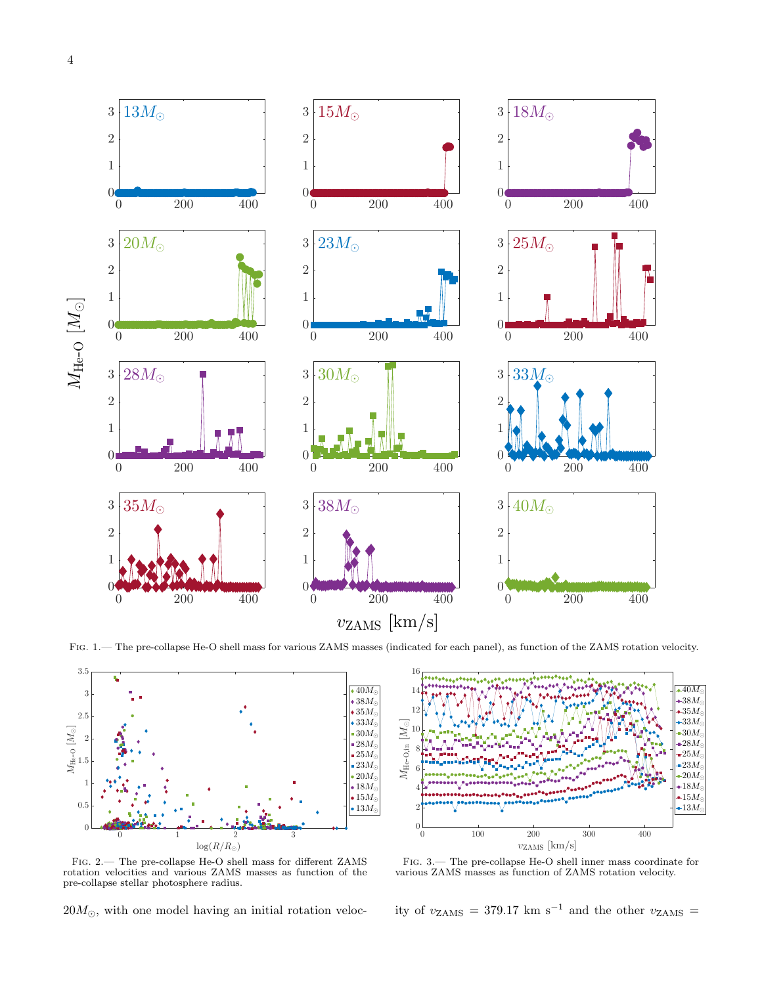

<span id="page-3-0"></span>FIG. 1.— The pre-collapse He-O shell mass for various ZAMS masses (indicated for each panel), as function of the ZAMS rotation velocity.



<span id="page-3-1"></span>Fig. 2.— The pre-collapse He-O shell mass for different ZAMS rotation velocities and various ZAMS masses as function of the pre-collapse stellar photosphere radius.

 $20M_{\odot}$ , with one model having an initial rotation veloc-



<span id="page-3-2"></span>Fig. 3.— The pre-collapse He-O shell inner mass coordinate for various ZAMS masses as function of ZAMS rotation velocity.

ity of  $v_{\rm ZAMS}$  = 379.17 km  $\rm s^{-1}$  and the other  $v_{\rm ZAMS}$  =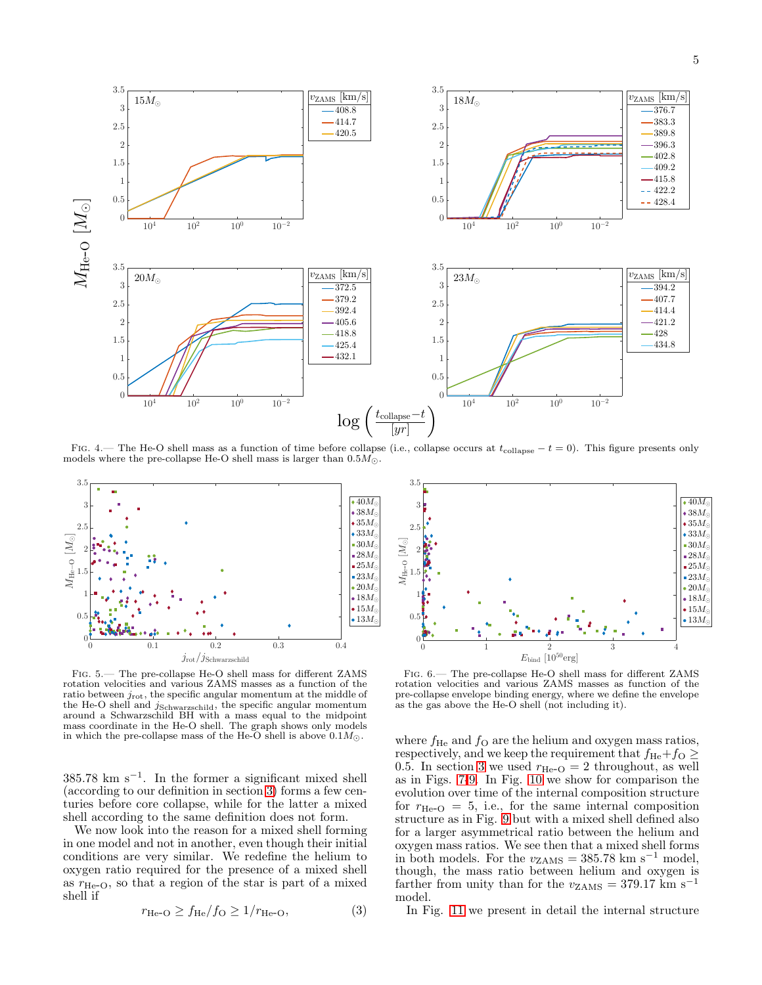

<span id="page-4-0"></span>FIG. 4.— The He-O shell mass as a function of time before collapse (i.e., collapse occurs at  $t_{\text{collapse}} - t = 0$ ). This figure presents only models where the pre-collapse He-O shell mass is larger than  $0.5M_{\odot}$ .



<span id="page-4-1"></span>Fig. 5.— The pre-collapse He-O shell mass for different ZAMS rotation velocities and various ZAMS masses as a function of the ratio between  $j_{\text{rot}}$ , the specific angular momentum at the middle of the He-O shell and *j*<sub>Schwarzschild</sub>, the specific angular momentum<br>around a Schwarzschild BH with a mass equal to the midpoint mass coordinate in the He-O shell. The graph shows only models in which the pre-collapse mass of the He-O shell is above  $0.1M_{\odot}$ .

385.78 km s<sup>−</sup><sup>1</sup> . In the former a significant mixed shell (according to our definition in section [3\)](#page-1-1) forms a few centuries before core collapse, while for the latter a mixed shell according to the same definition does not form.

We now look into the reason for a mixed shell forming in one model and not in another, even though their initial conditions are very similar. We redefine the helium to oxygen ratio required for the presence of a mixed shell as  $r_{\text{He-O}}$ , so that a region of the star is part of a mixed shell if

<span id="page-4-3"></span>
$$
r_{\text{He-O}} \ge f_{\text{He}}/f_{\text{O}} \ge 1/r_{\text{He-O}},\tag{3}
$$



<span id="page-4-2"></span>Fig. 6.— The pre-collapse He-O shell mass for different ZAMS rotation velocities and various ZAMS masses as function of the pre-collapse envelope binding energy, where we define the envelope as the gas above the He-O shell (not including it).

where  $f_{\text{He}}$  and  $f_{\text{O}}$  are the helium and oxygen mass ratios, respectively, and we keep the requirement that  $f_{\text{He}}+f_{\text{O}} \ge$ 0.5. In section [3](#page-1-1) we used  $r_{\text{He-O}} = 2$  throughout, as well as in Figs. [7-](#page-5-0)[9.](#page-5-2) In Fig. [10](#page-5-3) we show for comparison the evolution over time of the internal composition structure for  $r_{\text{He-O}} = 5$ , i.e., for the same internal composition structure as in Fig. [9](#page-5-2) but with a mixed shell defined also for a larger asymmetrical ratio between the helium and oxygen mass ratios. We see then that a mixed shell forms in both models. For the  $v_{\text{ZAMS}} = 385.78 \text{ km s}^{-1} \text{ model},$ though, the mass ratio between helium and oxygen is farther from unity than for the  $v_{\text{ZAMS}} = 379.17 \text{ km s}^{-1}$ model.

In Fig. [11](#page-6-1) we present in detail the internal structure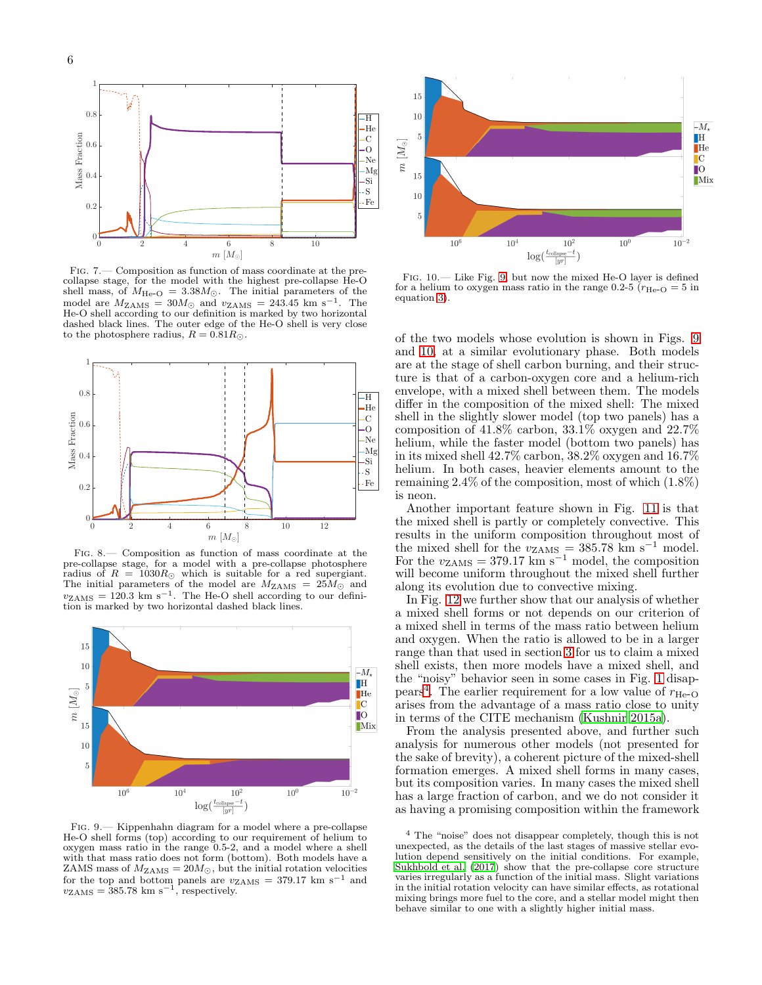

<span id="page-5-0"></span>Fig. 7.— Composition as function of mass coordinate at the precollapse stage, for the model with the highest pre-collapse He-O shell mass, of  $M_{\text{He-O}} = 3.38 M_{\odot}$ . The initial parameters of the model are  $M_{\text{ZAMS}} = 30 M_{\odot}$  and  $v_{\text{ZAMS}} = 243.45 \text{ km s}^{-1}$ . The He-O shell according to our definition is marked by two horizontal dashed black lines. The outer edge of the He-O shell is very close to the photosphere radius,  $R = 0.81 R_{\odot}$ .



<span id="page-5-1"></span>Fig. 8.— Composition as function of mass coordinate at the pre-collapse stage, for a model with a pre-collapse photosphere radius of  $R = 1030R_{\odot}$  which is suitable for a red supergiant. The initial parameters of the model are  $M_{\rm ZAMS} = 25 M_{\odot}$  and  $v_{\rm ZAMS} = 120.3$  km s<sup>-1</sup>. The He-O shell according to our definition is marked by two horizontal dashed black lines.



<span id="page-5-2"></span>Fig. 9.— Kippenhahn diagram for a model where a pre-collapse He-O shell forms (top) according to our requirement of helium to oxygen mass ratio in the range  $0.5$ -2, and a model where a shell with that mass ratio does not form (bottom). Both models have a ZAMS mass of  $M_{\text{ZAMS}} = 20 M_{\odot}$ , but the initial rotation velocities for the top and bottom panels are  $v_{\text{ZAMS}} = 379.17 \text{ km s}^{-1}$  and  $v_{\rm ZAMS} = 385.78 \text{ km s}^{-1}$ , respectively.



<span id="page-5-3"></span>Fig. 10.— Like Fig. [9,](#page-5-2) but now the mixed He-O layer is defined for a helium to oxygen mass ratio in the range 0.2-5 ( $r_{\text{He-O}} = 5$  in equation [3\)](#page-4-3).

of the two models whose evolution is shown in Figs. [9](#page-5-2) and [10,](#page-5-3) at a similar evolutionary phase. Both models are at the stage of shell carbon burning, and their structure is that of a carbon-oxygen core and a helium-rich envelope, with a mixed shell between them. The models differ in the composition of the mixed shell: The mixed shell in the slightly slower model (top two panels) has a composition of  $41.8\%$  carbon,  $33.1\%$  oxygen and  $22.7\%$ helium, while the faster model (bottom two panels) has in its mixed shell 42.7% carbon, 38.2% oxygen and 16.7% helium. In both cases, heavier elements amount to the remaining  $2.4\%$  of the composition, most of which  $(1.8\%)$ is neon.

Another important feature shown in Fig. [11](#page-6-1) is that the mixed shell is partly or completely convective. This results in the uniform composition throughout most of the mixed shell for the  $v_{\text{ZAMS}} = 385.78 \text{ km s}^{-1}$  model. For the  $v_{\rm ZAMS} = 379.17 \text{ km s}^{-1} \text{ model, the composition}$ will become uniform throughout the mixed shell further along its evolution due to convective mixing.

In Fig. [12](#page-6-2) we further show that our analysis of whether a mixed shell forms or not depends on our criterion of a mixed shell in terms of the mass ratio between helium and oxygen. When the ratio is allowed to be in a larger range than that used in section [3](#page-1-1) for us to claim a mixed shell exists, then more models have a mixed shell, and the "noisy" behavior seen in some cases in Fig. [1](#page-3-0) disap-pears<sup>[4](#page-5-4)</sup>. The earlier requirement for a low value of  $r_{\text{He-O}}$ arises from the advantage of a mass ratio close to unity in terms of the CITE mechanism [\(Kushnir 2015a\)](#page-7-19).

From the analysis presented above, and further such analysis for numerous other models (not presented for the sake of brevity), a coherent picture of the mixed-shell formation emerges. A mixed shell forms in many cases, but its composition varies. In many cases the mixed shell has a large fraction of carbon, and we do not consider it as having a promising composition within the framework

<span id="page-5-4"></span><sup>4</sup> The "noise" does not disappear completely, though this is not unexpected, as the details of the last stages of massive stellar evolution depend sensitively on the initial conditions. For example, [Sukhbold et al. \(2017\)](#page-8-22) show that the pre-collapse core structure varies irregularly as a function of the initial mass. Slight variations in the initial rotation velocity can have similar effects, as rotational mixing brings more fuel to the core, and a stellar model might then behave similar to one with a slightly higher initial mass.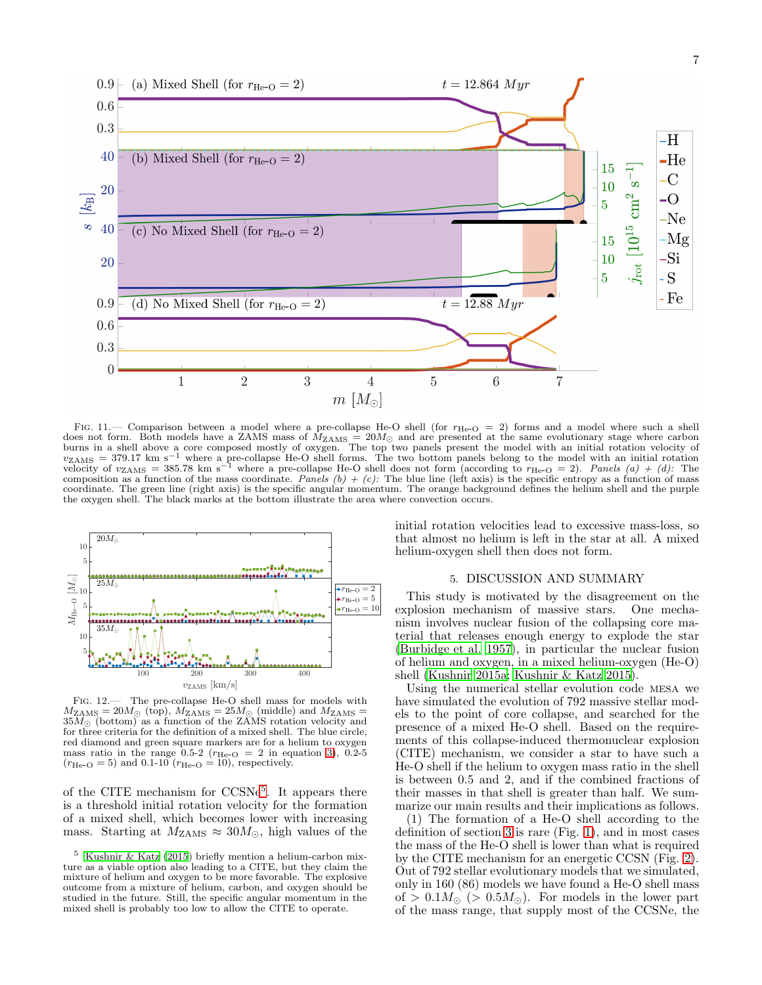

<span id="page-6-1"></span>FIG. 11.— Comparison between a model where a pre-collapse He-O shell (for  $r_{\text{He-O}} = 2$ ) forms and a model where such a shell<br>does not form. Both models have a ZAMS mass of  $M_{\text{ZAMS}} = 20 M_{\odot}$  and are presented at the sa velocity of  $v_{\text{ZAMS}} = 385.78 \text{ km s}^{-1}$  where a pre-collapse He-O shell does not form (according to  $r_{\text{He-O}} = 2$ ). Panels (a) + (d): The composition as a function of the mass coordinate. Panels (b) + (c): The blue line (left axis) is the specific entropy as a function of mass coordinate. The green line (right axis) is the specific angular momentum. The orange background defines the helium shell and the purple the oxygen shell. The black marks at the bottom illustrate the area where convection occurs.



<span id="page-6-2"></span>Fig. 12.— The pre-collapse He-O shell mass for models with  $M_{\text{ZAMS}} = 20 M_{\odot}$  (top),  $M_{\text{ZAMS}} = 25 M_{\odot}$  (middle) and  $M_{\text{ZAMS}} =$  $35M_{\odot}$  (bottom) as a function of the ZAMS rotation velocity and for three criteria for the definition of a mixed shell. The blue circle, red diamond and green square markers are for a helium to oxygen mass ratio in the range  $0.5-2$  ( $r_{\text{He-O}} = 2$  in equation [3\)](#page-4-3), 0.2-5  $(r_{\text{He-O}} = 5)$  and 0.1-10  $(r_{\text{He-O}} = 10)$ , respectively.

of the CITE mechanism for CCSNe<sup>[5](#page-6-3)</sup>. It appears there is a threshold initial rotation velocity for the formation of a mixed shell, which becomes lower with increasing mass. Starting at  $M_{\text{ZAMS}} \approx 30 M_{\odot}$ , high values of the

initial rotation velocities lead to excessive mass-loss, so that almost no helium is left in the star at all. A mixed helium-oxygen shell then does not form.

## 5. DISCUSSION AND SUMMARY

<span id="page-6-0"></span>This study is motivated by the disagreement on the explosion mechanism of massive stars. One mechanism involves nuclear fusion of the collapsing core material that releases enough energy to explode the star [\(Burbidge et al. 1957\)](#page-7-3), in particular the nuclear fusion of helium and oxygen, in a mixed helium-oxygen (He-O) shell [\(Kushnir 2015a;](#page-7-19) [Kushnir & Katz 2015](#page-7-4)).

Using the numerical stellar evolution code mesa we have simulated the evolution of 792 massive stellar models to the point of core collapse, and searched for the presence of a mixed He-O shell. Based on the requirements of this collapse-induced thermonuclear explosion (CITE) mechanism, we consider a star to have such a He-O shell if the helium to oxygen mass ratio in the shell is between 0.5 and 2, and if the combined fractions of their masses in that shell is greater than half. We summarize our main results and their implications as follows.

(1) The formation of a He-O shell according to the definition of section [3](#page-1-1) is rare (Fig. [1\)](#page-3-0), and in most cases the mass of the He-O shell is lower than what is required by the CITE mechanism for an energetic CCSN (Fig. [2\)](#page-3-1). Out of 792 stellar evolutionary models that we simulated, only in 160 (86) models we have found a He-O shell mass of >  $0.1 M_{\odot}$  (>  $0.5 M_{\odot}$ ). For models in the lower part of the mass range, that supply most of the CCSNe, the

<span id="page-6-3"></span> $^5\;$ [Kushnir & Katz \(2015](#page-7-4)) briefly mention a helium-carbon mixture as a viable option also leading to a CITE, but they claim the mixture of helium and oxygen to be more favorable. The explosive outcome from a mixture of helium, carbon, and oxygen should be studied in the future. Still, the specific angular momentum in the mixed shell is probably too low to allow the CITE to operate.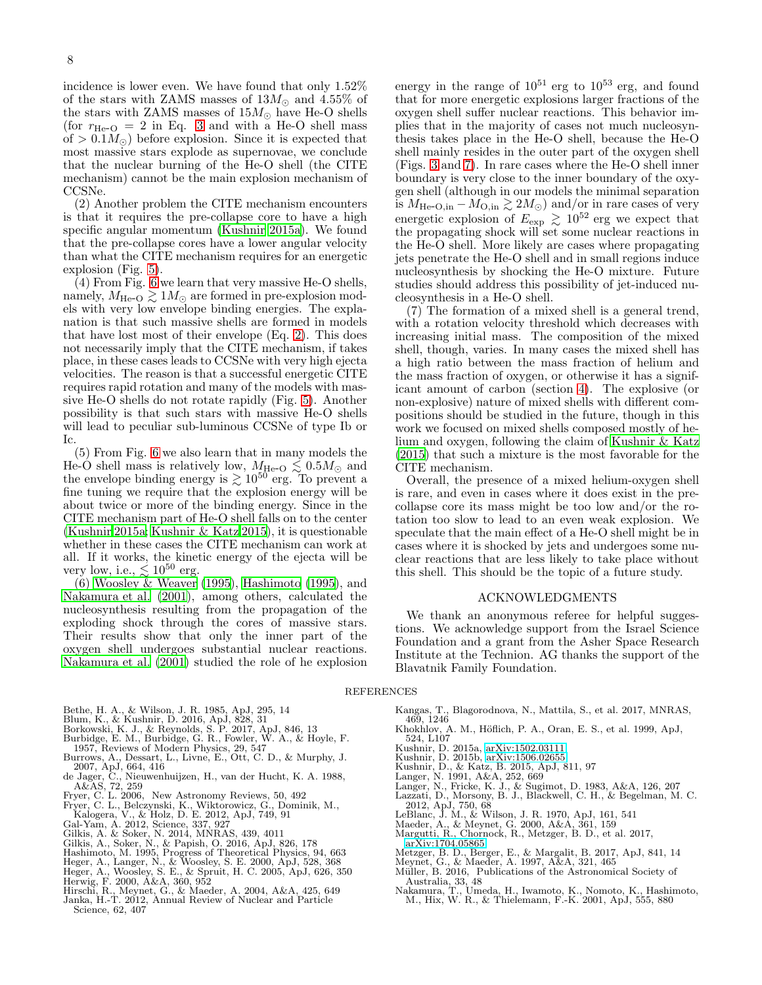incidence is lower even. We have found that only 1.52% of the stars with ZAMS masses of  $13M_{\odot}$  and  $4.55\%$  of the stars with ZAMS masses of  $15M_{\odot}$  have He-O shells (for  $r_{\text{He-O}} = 2$  in Eq. [3](#page-4-3) and with a He-O shell mass of  $> 0.1 M_{\odot}$ ) before explosion. Since it is expected that most massive stars explode as supernovae, we conclude that the nuclear burning of the He-O shell (the CITE mechanism) cannot be the main explosion mechanism of CCSNe.

(2) Another problem the CITE mechanism encounters is that it requires the pre-collapse core to have a high specific angular momentum [\(Kushnir 2015a\)](#page-7-19). We found that the pre-collapse cores have a lower angular velocity than what the CITE mechanism requires for an energetic explosion (Fig. [5\)](#page-4-1).

 $(4)$  From Fig. [6](#page-4-2) we learn that very massive He-O shells, namely,  $M_{\text{He-O}} \gtrsim 1 M_{\odot}$  are formed in pre-explosion models with very low envelope binding energies. The explanation is that such massive shells are formed in models that have lost most of their envelope (Eq. [2\)](#page-2-1). This does not necessarily imply that the CITE mechanism, if takes place, in these cases leads to CCSNe with very high ejecta velocities. The reason is that a successful energetic CITE requires rapid rotation and many of the models with massive He-O shells do not rotate rapidly (Fig. [5\)](#page-4-1). Another possibility is that such stars with massive He-O shells will lead to peculiar sub-luminous CCSNe of type Ib or Ic.

(5) From Fig. [6](#page-4-2) we also learn that in many models the He-O shell mass is relatively low,  $M_{\text{He-O}} \lesssim 0.5 M_{\odot}$  and the envelope binding energy is  $\gtrsim 10^{50}$  erg. To prevent a fine tuning we require that the explosion energy will be about twice or more of the binding energy. Since in the CITE mechanism part of He-O shell falls on to the center [\(Kushnir 2015a;](#page-7-19) [Kushnir & Katz 2015](#page-7-4)), it is questionable whether in these cases the CITE mechanism can work at all. If it works, the kinetic energy of the ejecta will be very low, i.e.,  $\lesssim 10^{50}$  erg.

(6) [Woosley & Weaver \(1995](#page-8-23)), [Hashimoto \(1995](#page-7-30)), and [Nakamura et al. \(2001\)](#page-7-31), among others, calculated the nucleosynthesis resulting from the propagation of the exploding shock through the cores of massive stars. Their results show that only the inner part of the oxygen shell undergoes substantial nuclear reactions. [Nakamura et al. \(2001\)](#page-7-31) studied the role of he explosion

energy in the range of  $10^{51}$  erg to  $10^{53}$  erg, and found that for more energetic explosions larger fractions of the oxygen shell suffer nuclear reactions. This behavior implies that in the majority of cases not much nucleosynthesis takes place in the He-O shell, because the He-O shell mainly resides in the outer part of the oxygen shell (Figs. [3](#page-3-2) and [7\)](#page-5-0). In rare cases where the He-O shell inner boundary is very close to the inner boundary of the oxygen shell (although in our models the minimal separation is  $M_{\text{He-O,in}} - M_{\text{O,in}} \gtrsim 2M_{\odot}$  and/or in rare cases of very energetic explosion of  $E_{\rm exp} \gtrsim 10^{52}$  erg we expect that the propagating shock will set some nuclear reactions in the He-O shell. More likely are cases where propagating jets penetrate the He-O shell and in small regions induce nucleosynthesis by shocking the He-O mixture. Future studies should address this possibility of jet-induced nucleosynthesis in a He-O shell.

(7) The formation of a mixed shell is a general trend, with a rotation velocity threshold which decreases with increasing initial mass. The composition of the mixed shell, though, varies. In many cases the mixed shell has a high ratio between the mass fraction of helium and the mass fraction of oxygen, or otherwise it has a significant amount of carbon (section [4\)](#page-2-0). The explosive (or non-explosive) nature of mixed shells with different compositions should be studied in the future, though in this work we focused on mixed shells composed mostly of helium and oxygen, following the claim of [Kushnir & Katz](#page-7-4) [\(2015\)](#page-7-4) that such a mixture is the most favorable for the CITE mechanism.

Overall, the presence of a mixed helium-oxygen shell is rare, and even in cases where it does exist in the precollapse core its mass might be too low and/or the rotation too slow to lead to an even weak explosion. We speculate that the main effect of a He-O shell might be in cases where it is shocked by jets and undergoes some nuclear reactions that are less likely to take place without this shell. This should be the topic of a future study.

#### ACKNOWLEDGMENTS

We thank an anonymous referee for helpful suggestions. We acknowledge support from the Israel Science Foundation and a grant from the Asher Space Research Institute at the Technion. AG thanks the support of the Blavatnik Family Foundation.

#### REFERENCES

- 
- <span id="page-7-18"></span><span id="page-7-17"></span>
- <span id="page-7-0"></span>Bethe, H. A., & Wilson, J. R. 1985, ApJ, 295, 14 Blum, K., & Kushnir, D. 2016, ApJ, 828, 31 Borkowski, K. J., & Reynolds, S. P. 2017, ApJ, 846, 13 Burbidge, E. M., Burbidge, G. R., Fowler, W. A., & Hoyle, F.
- <span id="page-7-3"></span>1957, Reviews of Modern Physics, 29, 547
- <span id="page-7-14"></span>Burrows, A., Dessart, L., Livne, E., Ott, C. D., & Murphy, J.<br>2007, ApJ, 664, 416<br>de Jager, C., Nieuwenhuijzen, H., van der Hucht, K. A. 1988,<br>de Jager, C., Nieuwenhuijzen, H., van der Hucht, K. A. 1988,<br>Fryer, C. L. 2006,
- <span id="page-7-29"></span>
- <span id="page-7-6"></span><span id="page-7-5"></span>
- 
- <span id="page-7-8"></span>
- 
- 
- <span id="page-7-30"></span>
- <span id="page-7-27"></span><span id="page-7-26"></span>
- <span id="page-7-20"></span><span id="page-7-16"></span>Gilkis, A., Soker, N., & Papish, O. 2016, ApJ, 826, 178<br>Hashimoto, M. 1995, Progress of Theoretical Physics, 94, 663<br>Heger, A., Langer, N., & Woosley, S. E. 2000, ApJ, 528, 368<br>Heger, A., Woosley, S. E., & Spruit, H. C. 20
- <span id="page-7-28"></span><span id="page-7-25"></span><span id="page-7-1"></span>
- Hirschi, R., Meynet, G., & Maeder, A. 2004, A&A, 425, 649 Janka, H.-T. 2012, Annual Review of Nuclear and Particle Science, 62, 407
- <span id="page-7-9"></span>Kangas, T., Blagorodnova, N., Mattila, S., et al. 2017, MNRAS, 469, 1246
- <span id="page-7-13"></span>Khokhlov, A. M., Höflich, P. A., Oran, E. S., et al. 1999, ApJ, 524, L107
- 
- <span id="page-7-19"></span>Kushnir, D. 2015a, [arXiv:1502.03111](http://arxiv.org/abs/1502.03111)
- <span id="page-7-7"></span><span id="page-7-4"></span>
- 
- <span id="page-7-24"></span><span id="page-7-23"></span>
- Kushnir, D. 2015b, [arXiv:1506.02655](http://arxiv.org/abs/1506.02655)<br>Kushnir, D., & Katz, B. 2015, ApJ, 811, 97<br>Langer, N. 1991, A&A, 252, 669<br>Langer, N., Fricke, K. J., & Sugimot, D. 1983, A&A, 126, 207<br>Lazzati, D., Morsony, B. J., Blackwell, C. H., & Be
- <span id="page-7-15"></span>2012, ApJ, 750, 68 LeBlanc, J. M., & Wilson, J. R. 1970, ApJ, 161, 541 Maeder, A., & Meynet, G. 2000, A&A, 361, 159
- <span id="page-7-12"></span>
- <span id="page-7-22"></span><span id="page-7-10"></span>Margutti, R., Chornock, R., Metzger, B. D., et al. 2017, [arXiv:1704.05865](http://arxiv.org/abs/1704.05865)
- 
- <span id="page-7-11"></span>Metzger, B. D., Berger, E., & Margalit, B. 2017, ApJ, 841, 14<br>Meynet, G., & Maeder, A. 1997, A&A, 321, 465<br>Müller, B. 2016, Publications of the Astronomical Society of
- <span id="page-7-21"></span><span id="page-7-2"></span>
- <span id="page-7-31"></span>Australia, 33, 48 Nakamura, T., Umeda, H., Iwamoto, K., Nomoto, K., Hashimoto, M., Hix, W. R., & Thielemann, F.-K. 2001, ApJ, 555, 880